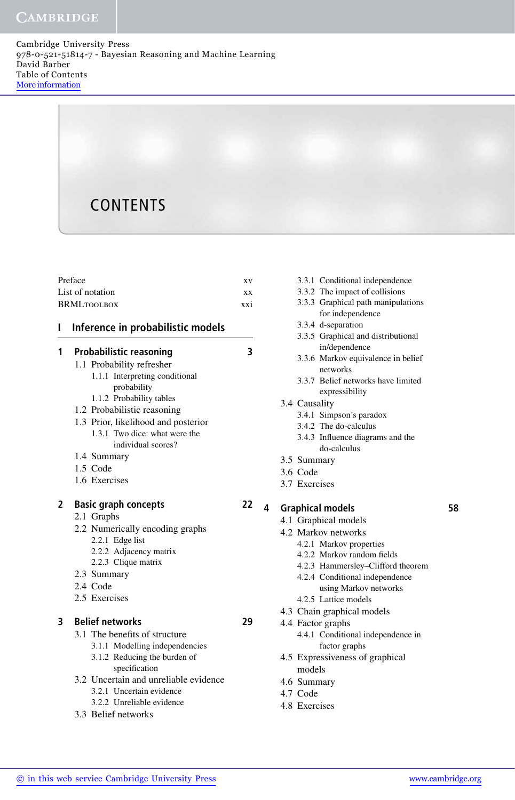Cambridge University Press 978-0-521-51814-7 - Bayesian Reasoning and Machine Learning David Barber Table of Contents More information

# CONTENTS

| Preface            | <b>XV</b>       |
|--------------------|-----------------|
| List of notation   | X X             |
| <b>BRMLTOOLBOX</b> | $\overline{X}X$ |

### **I Inference in probabilistic models**

#### **1 Probabilistic reasoning 3**

|  | 1.1 Probability refresher      |
|--|--------------------------------|
|  | 1.1.1 Interpreting conditional |
|  | probability                    |

- 1.1.2 Probability tables
- 1.2 Probabilistic reasoning
- 1.3 Prior, likelihood and posterior 1.3.1 Two dice: what were the individual scores?
- 1.4 Summary
- 1.5 Code
- 1.6 Exercises

## **2 Basic graph concepts 22**

#### 2.1 Graphs

- 2.2 Numerically encoding graphs
	- 2.2.1 Edge list
	- 2.2.2 Adjacency matrix
	- 2.2.3 Clique matrix
- 2.3 Summary
- 2.4 Code
- 2.5 Exercises

### **3 Belief networks 29**

3.1 The benefits of structure

- 3.1.1 Modelling independencies
- 3.1.2 Reducing the burden of
	- specification
- 3.2 Uncertain and unreliable evidence
	- 3.2.1 Uncertain evidence
	- 3.2.2 Unreliable evidence
- 3.3 Belief networks
- 3.3.1 Conditional independence
- 3.3.2 The impact of collisions
- 3.3.3 Graphical path manipulations for independence
- 3.3.4 d-separation
- 3.3.5 Graphical and distributional in/dependence
- 3.3.6 Markov equivalence in belief networks
- 3.3.7 Belief networks have limited expressibility
- 3.4 Causality
	- 3.4.1 Simpson's paradox
	- 3.4.2 The do-calculus
	- 3.4.3 Influence diagrams and the do-calculus
- 3.5 Summary
- 3.6 Code
- 3.7 Exercises

## **4 Graphical models 58**

- 4.1 Graphical models
- 4.2 Markov networks
	- 4.2.1 Markov properties
	- 4.2.2 Markov random fields
	- 4.2.3 Hammersley–Clifford theorem
	- 4.2.4 Conditional independence using Markov networks
- 4.2.5 Lattice models
- 4.3 Chain graphical models
- 4.4 Factor graphs
	- 4.4.1 Conditional independence in factor graphs
- 4.5 Expressiveness of graphical models
- 4.6 Summary
- 4.7 Code
- 4.8 Exercises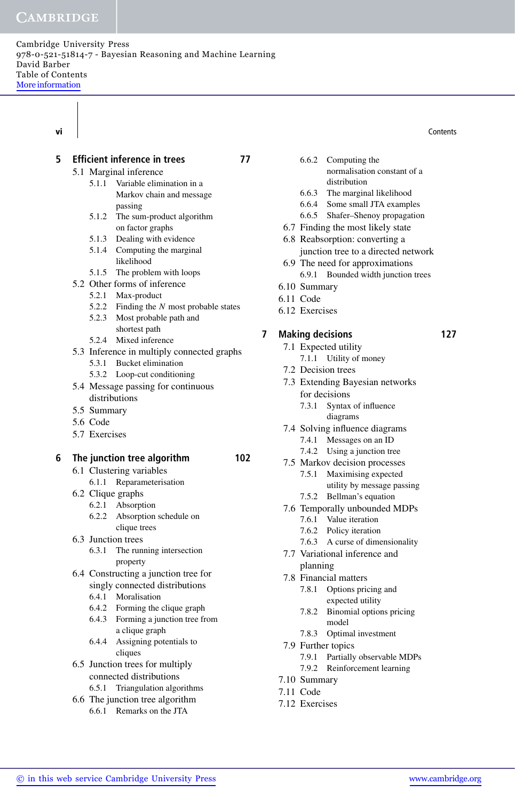Cambridge University Press 978-0-521-51814-7 - Bayesian Reasoning and Machine Learning David Barber Table of Contents More information

| VI |                                            |                         |                |                                     | Contents |
|----|--------------------------------------------|-------------------------|----------------|-------------------------------------|----------|
| 5  | <b>Efficient inference in trees</b>        | 77                      | 6.6.2          | Computing the                       |          |
|    | 5.1 Marginal inference                     |                         |                | normalisation constant of a         |          |
|    | 5.1.1 Variable elimination in a            |                         |                | distribution                        |          |
|    | Markov chain and message                   |                         | 6.6.3          | The marginal likelihood             |          |
|    | passing                                    |                         |                | 6.6.4 Some small JTA examples       |          |
|    | 5.1.2 The sum-product algorithm            |                         |                | 6.6.5 Shafer-Shenoy propagation     |          |
|    | on factor graphs                           |                         |                | 6.7 Finding the most likely state   |          |
|    | 5.1.3 Dealing with evidence                |                         |                | 6.8 Reabsorption: converting a      |          |
|    | 5.1.4 Computing the marginal               |                         |                | junction tree to a directed network |          |
|    | likelihood                                 |                         |                | 6.9 The need for approximations     |          |
|    | 5.1.5 The problem with loops               |                         | 6.9.1          | Bounded width junction trees        |          |
|    | 5.2 Other forms of inference               |                         | 6.10 Summary   |                                     |          |
|    | 5.2.1 Max-product                          |                         | 6.11 Code      |                                     |          |
|    | 5.2.2 Finding the N most probable states   |                         | 6.12 Exercises |                                     |          |
|    | Most probable path and<br>5.2.3            |                         |                |                                     |          |
|    | shortest path                              | $\overline{\mathbf{z}}$ |                | <b>Making decisions</b>             | 127      |
|    | 5.2.4 Mixed inference                      |                         |                | 7.1 Expected utility                |          |
|    | 5.3 Inference in multiply connected graphs |                         |                | 7.1.1 Utility of money              |          |
|    | 5.3.1 Bucket elimination                   |                         |                | 7.2 Decision trees                  |          |
|    | 5.3.2 Loop-cut conditioning                |                         |                | 7.3 Extending Bayesian networks     |          |
|    | 5.4 Message passing for continuous         |                         |                | for decisions                       |          |
|    | distributions                              |                         | 7.3.1          | Syntax of influence                 |          |
|    | 5.5 Summary                                |                         |                | diagrams                            |          |
|    | 5.6 Code                                   |                         |                | 7.4 Solving influence diagrams      |          |
|    | 5.7 Exercises                              |                         |                | 7.4.1 Messages on an ID             |          |
|    |                                            |                         |                | 7.4.2 Using a junction tree         |          |
| 6  | The junction tree algorithm                | 102                     |                | 7.5 Markov decision processes       |          |
|    | 6.1 Clustering variables                   |                         | 7.5.1          | Maximising expected                 |          |
|    | 6.1.1 Reparameterisation                   |                         |                | utility by message passing          |          |
|    | 6.2 Clique graphs                          |                         |                | 7.5.2 Bellman's equation            |          |
|    | 6.2.1 Absorption                           |                         |                | 7.6 Temporally unbounded MDPs       |          |
|    | Absorption schedule on<br>6.2.2            |                         |                | 7.6.1 Value iteration               |          |
|    | clique trees                               |                         |                | 7.6.2 Policy iteration              |          |
|    | 6.3 Junction trees                         |                         | 7.6.3          | A curse of dimensionality           |          |
|    | The running intersection<br>6.3.1          |                         |                | 7.7 Variational inference and       |          |
|    | property                                   |                         | planning       |                                     |          |
|    | 6.4 Constructing a junction tree for       |                         |                | 7.8 Financial matters               |          |
|    | singly connected distributions             |                         | 7.8.1          | Options pricing and                 |          |
|    | 6.4.1 Moralisation                         |                         |                | expected utility                    |          |
|    | 6.4.2 Forming the clique graph             |                         | 7.8.2          | Binomial options pricing            |          |
|    | 6.4.3 Forming a junction tree from         |                         |                | model                               |          |
|    | a clique graph                             |                         | 7.8.3          | Optimal investment                  |          |
|    | Assigning potentials to<br>6.4.4           |                         |                | 7.9 Further topics                  |          |
|    | cliques                                    |                         | 7.9.1          | Partially observable MDPs           |          |
|    | 6.5 Junction trees for multiply            |                         | 7.9.2          | Reinforcement learning              |          |
|    | connected distributions                    |                         | 7.10 Summary   |                                     |          |
|    | 6.5.1 Triangulation algorithms             |                         | 7.11 Code      |                                     |          |
|    |                                            |                         |                |                                     |          |

6.6 The junction tree algorithm 6.6.1 Remarks on the JTA

- 6.6.2 Computing the normalisation constant of a distribution
- 6.6.3 The marginal likelihood
- 6.6.4 Some small JTA examples
- 6.6.5 Shafer–Shenoy propagation
- 6.7 Finding the most likely state
- 6.8 Reabsorption: converting a junction tree to a directed network
- 6.9 The need for approximations 6.9.1 Bounded width junction trees
- 6.10 Summary
- 6.11 Code
- 6.12 Exercises

## **7 Making decisions 127**

- 7.1 Expected utility 7.1.1 Utility of money
- 7.2 Decision trees
- 7.3 Extending Bayesian networks for decisions
	- 7.3.1 Syntax of influence
	- diagrams
- 7.4 Solving influence diagrams 7.4.1 Messages on an ID
	- 7.4.2 Using a junction tree
- 7.5 Markov decision processes
	- 7.5.1 Maximising expected utility by message passing 7.5.2 Bellman's equation
- 7.6 Temporally unbounded MDPs
	- 7.6.1 Value iteration
	- 7.6.2 Policy iteration
	- 7.6.3 A curse of dimensionality
- 7.7 Variational inference and
	- planning
- 7.8 Financial matters
	- 7.8.1 Options pricing and expected utility
	- 7.8.2 Binomial options pricing model
	- 7.8.3 Optimal investment
- 7.9 Further topics
	- 7.9.1 Partially observable MDPs
	- 7.9.2 Reinforcement learning
- 7.10 Summary
- 7.11 Code
- 7.12 Exercises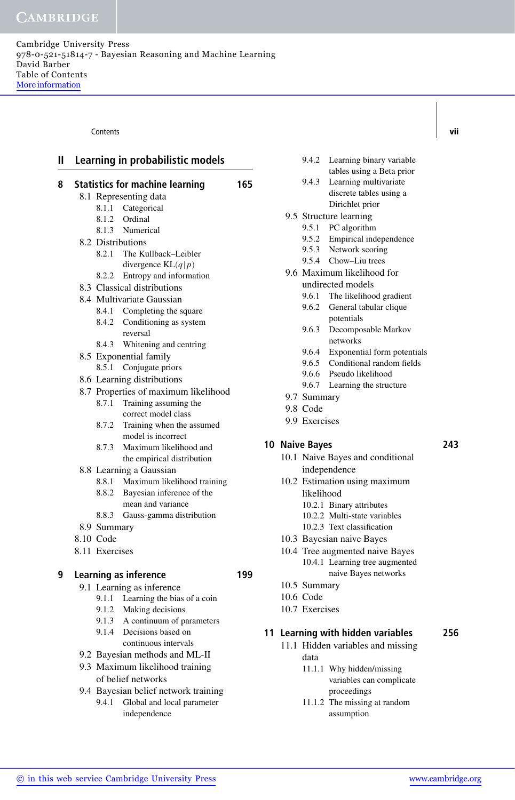Contents **vii**

### **II Learning in probabilistic models**

- **8 Statistics for machine learning 165**
	- 8.1 Representing data
		- 8.1.1 Categorical
		- 8.1.2 Ordinal
		- 8.1.3 Numerical
	- 8.2 Distributions
		- 8.2.1 The Kullback–Leibler
			- divergence KL(*q*|*p*)
		- 8.2.2 Entropy and information
	- 8.3 Classical distributions
	- 8.4 Multivariate Gaussian
		- 8.4.1 Completing the square
		- 8.4.2 Conditioning as system reversal
		- 8.4.3 Whitening and centring
	- 8.5 Exponential family
		- 8.5.1 Conjugate priors
	- 8.6 Learning distributions
	- 8.7 Properties of maximum likelihood
		- 8.7.1 Training assuming the correct model class
		- 8.7.2 Training when the assumed model is incorrect
		- 8.7.3 Maximum likelihood and the empirical distribution
	- 8.8 Learning a Gaussian
		- 8.8.1 Maximum likelihood training
		- 8.8.2 Bayesian inference of the
		- mean and variance
		- 8.8.3 Gauss-gamma distribution
	- 8.9 Summary
	- 8.10 Code
	- 8.11 Exercises

### **9 Learning as inference 199**

- 9.1 Learning as inference
	- 9.1.1 Learning the bias of a coin
	- 9.1.2 Making decisions
	- 9.1.3 A continuum of parameters
	- 9.1.4 Decisions based on continuous intervals
- 9.2 Bayesian methods and ML-II
- 9.3 Maximum likelihood training of belief networks
- 9.4 Bayesian belief network training
	- 9.4.1 Global and local parameter independence
- 9.4.2 Learning binary variable tables using a Beta prior
- 9.4.3 Learning multivariate discrete tables using a Dirichlet prior
- 9.5 Structure learning
	- 9.5.1 PC algorithm
	- 9.5.2 Empirical independence
	- 9.5.3 Network scoring
	- 9.5.4 Chow–Liu trees
- 9.6 Maximum likelihood for
	- undirected models
	- 9.6.1 The likelihood gradient
	- 9.6.2 General tabular clique potentials
	- 9.6.3 Decomposable Markov networks
	- 9.6.4 Exponential form potentials
	- 9.6.5 Conditional random fields
	- 9.6.6 Pseudo likelihood
	- 9.6.7 Learning the structure
- 9.7 Summary
- 9.8 Code
- 9.9 Exercises

#### **10 Naive Bayes 243**

- 10.1 Naive Bayes and conditional independence
- 10.2 Estimation using maximum
	- likelihood
	- 10.2.1 Binary attributes
	- 10.2.2 Multi-state variables
	- 10.2.3 Text classification
- 10.3 Bayesian naive Bayes
- 10.4 Tree augmented naive Bayes 10.4.1 Learning tree augmented naive Bayes networks
- 10.5 Summary
- 10.6 Code
- 10.7 Exercises

**11 Learning with hidden variables 256**

- 11.1 Hidden variables and missing data
	- 11.1.1 Why hidden/missing variables can complicate proceedings
	- 11.1.2 The missing at random assumption

- 
-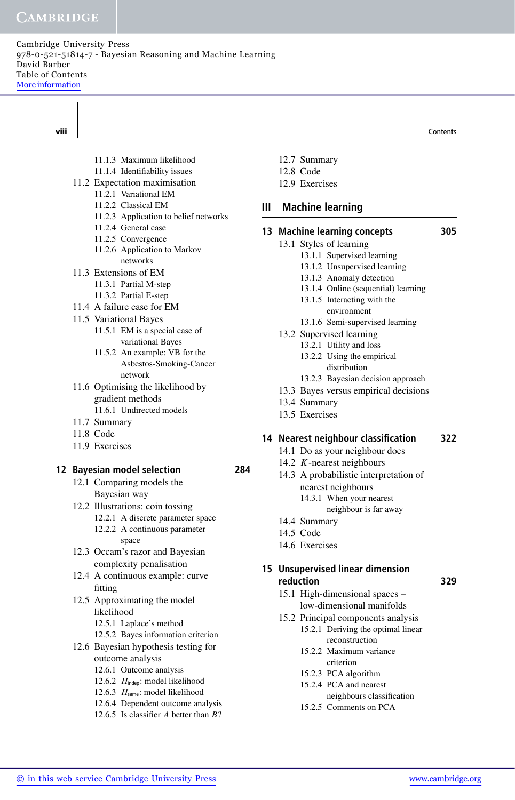Cambridge University Press 978-0-521-51814-7 - Bayesian Reasoning and Machine Learning David Barber Table of Contents More information

11.1.3 Maximum likelihood 11.1.4 Identifiability issues 11.2 Expectation maximisation 11.2.1 Variational EM 11.2.2 Classical EM 11.2.3 Application to belief networks 11.2.4 General case 11.2.5 Convergence 11.2.6 Application to Markov networks 11.3 Extensions of EM 11.3.1 Partial M-step 11.3.2 Partial E-step 11.4 A failure case for EM 11.5 Variational Bayes 11.5.1 EM is a special case of variational Bayes 11.5.2 An example: VB for the Asbestos-Smoking-Cancer network 11.6 Optimising the likelihood by gradient methods 11.6.1 Undirected models 11.7 Summary 11.8 Code 11.9 Exercises **12 Bayesian model selection 284** 12.1 Comparing models the Bayesian way 12.2 Illustrations: coin tossing 12.2.1 A discrete parameter space 12.2.2 A continuous parameter space 12.3 Occam's razor and Bayesian complexity penalisation 12.4 A continuous example: curve fitting 12.5 Approximating the model likelihood 12.5.1 Laplace's method 12.5.2 Bayes information criterion 12.6 Bayesian hypothesis testing for outcome analysis 12.6.1 Outcome analysis 12.6.2 *H*indep: model likelihood 12.6.3 *H*same: model likelihood

- 12.6.4 Dependent outcome analysis
- 12.6.5 Is classifier *A* better than *B*?
- 12.7 Summary
- 12.8 Code
- 12.9 Exercises

### **III Machine learning**

- **13 Machine learning concepts 305** 13.1 Styles of learning 13.1.1 Supervised learning 13.1.2 Unsupervised learning 13.1.3 Anomaly detection 13.1.4 Online (sequential) learning 13.1.5 Interacting with the environment 13.1.6 Semi-supervised learning 13.2 Supervised learning
	- 13.2.1 Utility and loss
		- 13.2.2 Using the empirical
			- distribution
		- 13.2.3 Bayesian decision approach
	- 13.3 Bayes versus empirical decisions
	- 13.4 Summary
	- 13.5 Exercises

#### **14 Nearest neighbour classification 322**

- 14.1 Do as your neighbour does
- 14.2 *K*-nearest neighbours
- 14.3 A probabilistic interpretation of nearest neighbours 14.3.1 When your nearest
	- neighbour is far away
- 14.4 Summary
- 14.5 Code
- 14.6 Exercises

### **15 Unsupervised linear dimension reduction 329**

- 15.1 High-dimensional spaces low-dimensional manifolds
- 15.2 Principal components analysis 15.2.1 Deriving the optimal linear reconstruction
	- 15.2.2 Maximum variance criterion
	- 15.2.3 PCA algorithm
	- 15.2.4 PCA and nearest neighbours classification
	- 15.2.5 Comments on PCA

**viii** Contents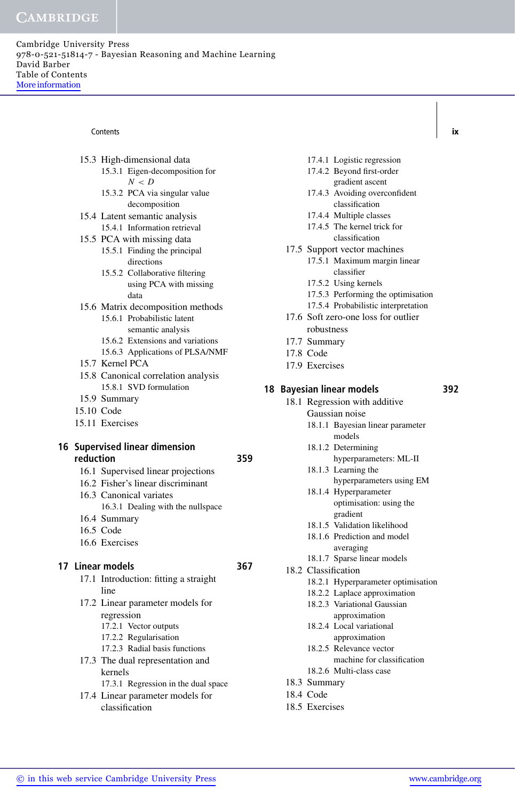#### Contents **ix**

| 15.3 High-dimensional data |                                |  |
|----------------------------|--------------------------------|--|
|                            | 15.3.1 Eigen-decomposition for |  |

- $N < D$
- 15.3.2 PCA via singular value decomposition
- 15.4 Latent semantic analysis 15.4.1 Information retrieval
- 15.5 PCA with missing data
	- 15.5.1 Finding the principal directions
	- 15.5.2 Collaborative filtering using PCA with missing data
- 15.6 Matrix decomposition methods 15.6.1 Probabilistic latent
	- semantic analysis 15.6.2 Extensions and variations
	- 15.6.3 Applications of PLSA/NMF
- 15.7 Kernel PCA
- 
- 15.8 Canonical correlation analysis 15.8.1 SVD formulation
- 15.9 Summary
- 15.10 Code
- 15.11 Exercises

#### **16 Supervised linear dimension reduction 359**

- 16.1 Supervised linear projections
- 16.2 Fisher's linear discriminant
- 16.3 Canonical variates
	- 16.3.1 Dealing with the nullspace
- 16.4 Summary
- 16.5 Code
- 16.6 Exercises

#### **17 Linear models 367**

- 17.1 Introduction: fitting a straight line
- 17.2 Linear parameter models for regression
	- 17.2.1 Vector outputs
	- 17.2.2 Regularisation
	- 17.2.3 Radial basis functions
- 17.3 The dual representation and kernels 17.3.1 Regression in the dual space
	-
- 17.4 Linear parameter models for classification
- 17.4.1 Logistic regression
- 17.4.2 Beyond first-order gradient ascent
- 17.4.3 Avoiding overconfident classification
- 17.4.4 Multiple classes
- 17.4.5 The kernel trick for classification
- 17.5 Support vector machines
	- 17.5.1 Maximum margin linear classifier
		- 17.5.2 Using kernels
		- 17.5.3 Performing the optimisation
	- 17.5.4 Probabilistic interpretation
- 17.6 Soft zero-one loss for outlier robustness
- 17.7 Summary
- 17.8 Code
- 17.9 Exercises

#### **18 Bayesian linear models 392**

- 18.1 Regression with additive
	- Gaussian noise
	- 18.1.1 Bayesian linear parameter models
	- 18.1.2 Determining hyperparameters: ML-II
	- 18.1.3 Learning the
	- hyperparameters using EM 18.1.4 Hyperparameter
		- optimisation: using the gradient
	- 18.1.5 Validation likelihood
	- 18.1.6 Prediction and model averaging
	- 18.1.7 Sparse linear models
- 18.2 Classification
	- 18.2.1 Hyperparameter optimisation
	- 18.2.2 Laplace approximation
	- 18.2.3 Variational Gaussian approximation
	- 18.2.4 Local variational
	- approximation 18.2.5 Relevance vector
		- machine for classification
	- 18.2.6 Multi-class case
- 18.3 Summary
- 18.4 Code
- 18.5 Exercises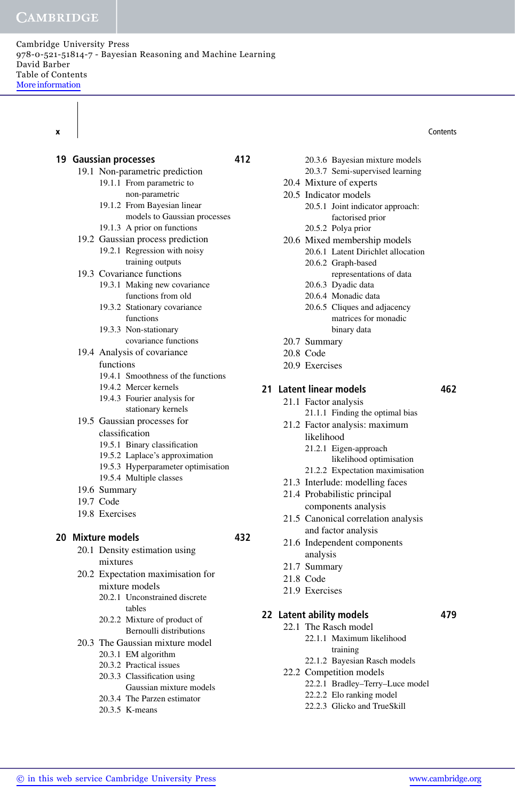Cambridge University Press 978-0-521-51814-7 - Bayesian Reasoning and Machine Learning David Barber Table of Contents More information

> **19 Gaussian processes 412** 19.1 Non-parametric prediction

## **x**  $\vert$

|  |                   | 19.1.1 From parametric to                          |     |      |  |
|--|-------------------|----------------------------------------------------|-----|------|--|
|  |                   | non-parametric                                     |     |      |  |
|  |                   | 19.1.2 From Bayesian linear                        |     |      |  |
|  |                   | models to Gaussian processes                       |     |      |  |
|  |                   | 19.1.3 A prior on functions                        |     |      |  |
|  |                   | 19.2 Gaussian process prediction                   |     |      |  |
|  |                   | 19.2.1 Regression with noisy                       |     |      |  |
|  |                   | training outputs                                   |     |      |  |
|  |                   | 19.3 Covariance functions                          |     |      |  |
|  |                   | 19.3.1 Making new covariance<br>functions from old |     |      |  |
|  |                   | 19.3.2 Stationary covariance                       |     |      |  |
|  |                   | functions                                          |     |      |  |
|  |                   | 19.3.3 Non-stationary                              |     |      |  |
|  |                   | covariance functions                               |     |      |  |
|  |                   | 19.4 Analysis of covariance                        |     |      |  |
|  | functions         |                                                    |     |      |  |
|  |                   | 19.4.1 Smoothness of the functions                 |     |      |  |
|  |                   | 19.4.2 Mercer kernels                              |     | 21 I |  |
|  |                   | 19.4.3 Fourier analysis for                        |     |      |  |
|  |                   | stationary kernels                                 |     |      |  |
|  |                   | 19.5 Gaussian processes for                        |     |      |  |
|  | classification    |                                                    |     |      |  |
|  |                   | 19.5.1 Binary classification                       |     |      |  |
|  |                   | 19.5.2 Laplace's approximation                     |     |      |  |
|  |                   | 19.5.3 Hyperparameter optimisation                 |     |      |  |
|  |                   | 19.5.4 Multiple classes                            |     |      |  |
|  | 19.6 Summary      |                                                    |     |      |  |
|  | 19.7 Code         |                                                    |     |      |  |
|  | 19.8 Exercises    |                                                    |     |      |  |
|  |                   |                                                    |     |      |  |
|  | 20 Mixture models |                                                    | 432 |      |  |
|  |                   | 20.1 Density estimation using                      |     |      |  |
|  | mixtures          |                                                    |     |      |  |
|  |                   | 20.2 Expectation maximisation for                  |     |      |  |
|  |                   | mixture models                                     |     |      |  |
|  |                   | 20.2.1 Unconstrained discrete                      |     |      |  |
|  |                   | tables                                             |     | 22 I |  |
|  |                   | 20.2.2 Mixture of product of                       |     |      |  |
|  |                   | <b>Bernoulli distributions</b>                     |     |      |  |
|  |                   | 20.3 The Gaussian mixture model                    |     |      |  |
|  |                   | 20.3.1 EM algorithm                                |     |      |  |
|  |                   | 20.3.2 Practical issues                            |     |      |  |
|  |                   | 20.3.3 Classification using                        |     |      |  |
|  |                   | Gaussian mixture models                            |     |      |  |

- 20.3.4 The Parzen estimator
- 20.3.5 K-means
- 20.3.6 Bayesian mixture models
- 20.3.7 Semi-supervised learning
- 20.4 Mixture of experts
- 20.5 Indicator models
	- 20.5.1 Joint indicator approach: factorised prior
	- 20.5.2 Polya prior
- 20.6 Mixed membership models
	- 20.6.1 Latent Dirichlet allocation
		- 20.6.2 Graph-based
			- representations of data
		- 20.6.3 Dyadic data
		- 20.6.4 Monadic data
		- 20.6.5 Cliques and adjacency matrices for monadic binary data
- 20.7 Summary
- 20.8 Code
- 20.9 Exercises

#### **21 Latent linear models 462**

- 21.1 Factor analysis
- 21.1.1 Finding the optimal bias
- 21.2 Factor analysis: maximum likelihood
	- 21.2.1 Eigen-approach likelihood optimisation
	- 21.2.2 Expectation maximisation
- 21.3 Interlude: modelling faces
- 21.4 Probabilistic principal components analysis
- 21.5 Canonical correlation analysis and factor analysis
- 21.6 Independent components analysis
- 21.7 Summary
- 21.8 Code
- 21.9 Exercises

## **22 Latent ability models 479**

- 22.1 The Rasch model
	- 22.1.1 Maximum likelihood
		- training
	- 22.1.2 Bayesian Rasch models
	- 22.2 Competition models
		- 22.2.1 Bradley–Terry–Luce model
		- 22.2.2 Elo ranking model
		- 22.2.3 Glicko and TrueSkill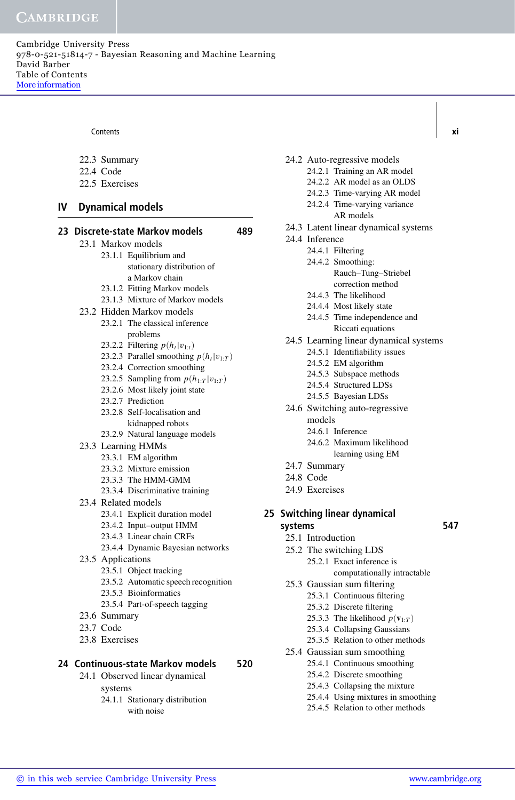Contents **xi**

|  | 22.3 Summary |
|--|--------------|
|--|--------------|

- 22.4 Code
- 22.5 Exercises

### **IV Dynamical models**

#### **23 Discrete-state Markov models 489**

23.1 Markov models

- 23.1.1 Equilibrium and stationary distribution of a Markov chain 23.1.2 Fitting Markov models 23.1.3 Mixture of Markov models 23.2 Hidden Markov models 23.2.1 The classical inference problems 23.2.2 Filtering  $p(h_t|v_{1:t})$ 23.2.3 Parallel smoothing  $p(h_t|v_{1:T})$ 23.2.4 Correction smoothing
	- 23.2.5 Sampling from  $p(h_{1:T} | v_{1:T})$
	- 23.2.6 Most likely joint state
	- 23.2.7 Prediction
	- 23.2.8 Self-localisation and kidnapped robots
	- 23.2.9 Natural language models
- 23.3 Learning HMMs
	- 23.3.1 EM algorithm
	- 23.3.2 Mixture emission
	- 23.3.3 The HMM-GMM
	- 23.3.4 Discriminative training
- 23.4 Related models
	- 23.4.1 Explicit duration model
	- 23.4.2 Input–output HMM
	- 23.4.3 Linear chain CRFs
	- 23.4.4 Dynamic Bayesian networks
- 23.5 Applications
	- 23.5.1 Object tracking
	- 23.5.2 Automatic speech recognition
	- 23.5.3 Bioinformatics
	- 23.5.4 Part-of-speech tagging
- 23.6 Summary
- 23.7 Code
- 23.8 Exercises

#### **24 Continuous-state Markov models 520**

- 24.1 Observed linear dynamical systems 24.1.1 Stationary distribution
	- with noise
- 24.2 Auto-regressive models
	- 24.2.1 Training an AR model
	- 24.2.2 AR model as an OLDS
	- 24.2.3 Time-varying AR model
	- 24.2.4 Time-varying variance
		- AR models
- 24.3 Latent linear dynamical systems
- 24.4 Inference
	- 24.4.1 Filtering
	- 24.4.2 Smoothing:
		- Rauch–Tung–Striebel
		- correction method
	- 24.4.3 The likelihood
	- 24.4.4 Most likely state
	- 24.4.5 Time independence and Riccati equations
- 24.5 Learning linear dynamical systems
	- 24.5.1 Identifiability issues
	- 24.5.2 EM algorithm
	- 24.5.3 Subspace methods
	- 24.5.4 Structured LDSs
	- 24.5.5 Bayesian LDSs
- 24.6 Switching auto-regressive models
	- 24.6.1 Inference
	- 24.6.2 Maximum likelihood
	- learning using EM
- 24.7 Summary
- 24.8 Code
- 24.9 Exercises
- **25 Switching linear dynamical systems 547**
	- 25.1 Introduction
	- 25.2 The switching LDS 25.2.1 Exact inference is
		- computationally intractable
	- 25.3 Gaussian sum filtering 25.3.1 Continuous filtering
		- 25.3.2 Discrete filtering
		- 25.3.3 The likelihood  $p(\mathbf{v}_{1:T})$
		- 25.3.4 Collapsing Gaussians
		- 25.3.5 Relation to other methods
	- 25.4 Gaussian sum smoothing
		- 25.4.1 Continuous smoothing
		- 25.4.2 Discrete smoothing
		- 25.4.3 Collapsing the mixture
		- 25.4.4 Using mixtures in smoothing
		- 25.4.5 Relation to other methods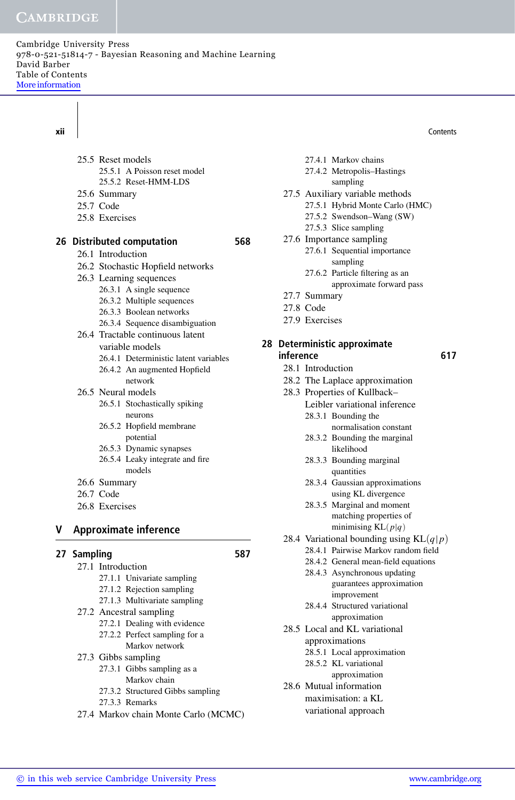Cambridge University Press 978-0-521-51814-7 - Bayesian Reasoning and Machine Learning David Barber Table of Contents More information

**xii** | Contents

| 25.5 Reset models |                              |  |
|-------------------|------------------------------|--|
|                   | 25.5.1 A Poisson reset model |  |
|                   | 25.5.2 Reset-HMM-LDS         |  |
|                   |                              |  |

- 25.6 Summary
- 25.7 Code
- 25.8 Exercises

#### **26 Distributed computation 568**

- 26.1 Introduction
- 26.2 Stochastic Hopfield networks
- 26.3 Learning sequences
	- 26.3.1 A single sequence
	- 26.3.2 Multiple sequences
	- 26.3.3 Boolean networks
	- 26.3.4 Sequence disambiguation
- 26.4 Tractable continuous latent
	- variable models
	- 26.4.1 Deterministic latent variables
	- 26.4.2 An augmented Hopfield network

#### 26.5 Neural models

- 26.5.1 Stochastically spiking neurons
- 26.5.2 Hopfield membrane potential
- 26.5.3 Dynamic synapses
- 26.5.4 Leaky integrate and fire models
- 26.6 Summary
- 26.7 Code
- 26.8 Exercises

## **V Approximate inference**

#### **27 Sampling 587**

- 27.1 Introduction
	- 27.1.1 Univariate sampling
	- 27.1.2 Rejection sampling
	- 27.1.3 Multivariate sampling
- 27.2 Ancestral sampling
	- 27.2.1 Dealing with evidence
	- 27.2.2 Perfect sampling for a Markov network
- 27.3 Gibbs sampling
	- 27.3.1 Gibbs sampling as a Markov chain
	- 27.3.2 Structured Gibbs sampling
	- 27.3.3 Remarks
- 27.4 Markov chain Monte Carlo (MCMC)
- 27.4.1 Markov chains
	- 27.4.2 Metropolis–Hastings
		- sampling
- 27.5 Auxiliary variable methods
	- 27.5.1 Hybrid Monte Carlo (HMC)
	- 27.5.2 Swendson–Wang (SW)
	- 27.5.3 Slice sampling
- 27.6 Importance sampling
	- 27.6.1 Sequential importance sampling
	- 27.6.2 Particle filtering as an
		- approximate forward pass
- 27.7 Summary
- 27.8 Code
- 27.9 Exercises

#### **28 Deterministic approximate inference 617**

- 28.1 Introduction
- 28.2 The Laplace approximation
- 28.3 Properties of Kullback– Leibler variational inference
	- 28.3.1 Bounding the normalisation constant
	- 28.3.2 Bounding the marginal likelihood
	- 28.3.3 Bounding marginal quantities
	- 28.3.4 Gaussian approximations using KL divergence
	- 28.3.5 Marginal and moment matching properties of minimising KL(*p*|*q*)
- 28.4 Variational bounding using  $KL(q|p)$ 
	- 28.4.1 Pairwise Markov random field
	- 28.4.2 General mean-field equations
	- 28.4.3 Asynchronous updating guarantees approximation improvement
	- 28.4.4 Structured variational approximation
- 28.5 Local and KL variational
	- approximations
	- 28.5.1 Local approximation 28.5.2 KL variational
		- approximation
- 28.6 Mutual information maximisation: a KL variational approach